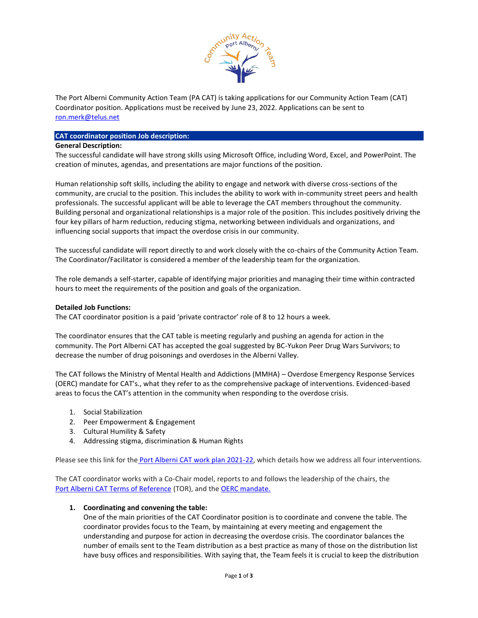

The Port Alberni Community Action Team (PA CAT) is taking applications for our Community Action Team (CAT) Coordinator position. Applications must be received by June 23, 2022. Applications can be sent to [ron.merk@telus.net](mailto:ron.merk@telus.net)

## **CAT coordinator position Job description:**

## **General Description:**

The successful candidate will have strong skills using Microsoft Office, including Word, Excel, and PowerPoint. The creation of minutes, agendas, and presentations are major functions of the position.

Human relationship soft skills, including the ability to engage and network with diverse cross-sections of the community, are crucial to the position. This includes the ability to work with in-community street peers and health professionals. The successful applicant will be able to leverage the CAT members throughout the community. Building personal and organizational relationships is a major role of the position. This includes positively driving the four key pillars of harm reduction, reducing stigma, networking between individuals and organizations, and influencing social supports that impact the overdose crisis in our community.

The successful candidate will report directly to and work closely with the co-chairs of the Community Action Team. The Coordinator/Facilitator is considered a member of the leadership team for the organization.

The role demands a self-starter, capable of identifying major priorities and managing their time within contracted hours to meet the requirements of the position and goals of the organization.

## **Detailed Job Functions:**

The CAT coordinator position is a paid 'private contractor' role of 8 to 12 hours a week.

The coordinator ensures that the CAT table is meeting regularly and pushing an agenda for action in the community. The Port Alberni CAT has accepted the goal suggested by BC-Yukon Peer Drug Wars Survivors; to decrease the number of drug poisonings and overdoses in the Alberni Valley.

The CAT follows the Ministry of Mental Health and Addictions (MMHA) – Overdose Emergency Response Services (OERC) mandate for CAT's., what they refer to as the comprehensive package of interventions. Evidenced-based areas to focus the CAT's attention in the community when responding to the overdose crisis.

- 1. Social Stabilization
- 2. Peer Empowerment & Engagement
- 3. Cultural Humility & Safety
- 4. Addressing stigma, discrimination & Human Rights

Please see this link for the [Port Alberni CAT work plan 2021-22,](https://drive.google.com/file/d/1i7NFX37bWwJ_ddZCitRK3JLAxbbjdZks/view?usp=sharing) which details how we address all four interventions.

The CAT coordinator works with a Co-Chair model, reports to and follows the leadership of the chairs, the Port [Alberni CAT Terms of Reference](https://drive.google.com/file/d/1OkF8w-n54tYr-aWoy6kHN5LBg2b9hiPl/view?usp=sharing) (TOR), and the [OERC mandate.](https://drive.google.com/file/d/1lVZwqzwloGwBmEXfcGs2bE1WnRyi5x-u/view?usp=sharing)

#### **1. Coordinating and convening the table:**

One of the main priorities of the CAT Coordinator position is to coordinate and convene the table. The coordinator provides focus to the Team, by maintaining at every meeting and engagement the understanding and purpose for action in decreasing the overdose crisis. The coordinator balances the number of emails sent to the Team distribution as a best practice as many of those on the distribution list have busy offices and responsibilities. With saying that, the Team feels it is crucial to keep the distribution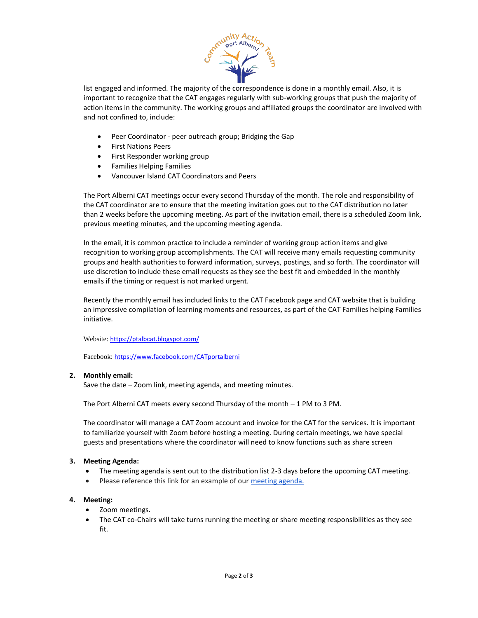

list engaged and informed. The majority of the correspondence is done in a monthly email. Also, it is important to recognize that the CAT engages regularly with sub-working groups that push the majority of action items in the community. The working groups and affiliated groups the coordinator are involved with and not confined to, include:

- Peer Coordinator peer outreach group; Bridging the Gap
- First Nations Peers
- First Responder working group
- Families Helping Families
- Vancouver Island CAT Coordinators and Peers

The Port Alberni CAT meetings occur every second Thursday of the month. The role and responsibility of the CAT coordinator are to ensure that the meeting invitation goes out to the CAT distribution no later than 2 weeks before the upcoming meeting. As part of the invitation email, there is a scheduled Zoom link, previous meeting minutes, and the upcoming meeting agenda.

In the email, it is common practice to include a reminder of working group action items and give recognition to working group accomplishments. The CAT will receive many emails requesting community groups and health authorities to forward information, surveys, postings, and so forth. The coordinator will use discretion to include these email requests as they see the best fit and embedded in the monthly emails if the timing or request is not marked urgent.

Recently the monthly email has included links to the CAT Facebook page and CAT website that is building an impressive compilation of learning moments and resources, as part of the CAT Families helping Families initiative.

Website: <https://ptalbcat.blogspot.com/>

Facebook: <https://www.facebook.com/CATportalberni>

# **2. Monthly email:**

Save the date – Zoom link, meeting agenda, and meeting minutes.

The Port Alberni CAT meets every second Thursday of the month – 1 PM to 3 PM.

The coordinator will manage a CAT Zoom account and invoice for the CAT for the services. It is important to familiarize yourself with Zoom before hosting a meeting. During certain meetings, we have special guests and presentations where the coordinator will need to know functions such as share screen

# **3. Meeting Agenda:**

- The meeting agenda is sent out to the distribution list 2-3 days before the upcoming CAT meeting.
- Please reference this link for an example of our [meeting agenda.](https://docs.google.com/document/d/1CV1pE06VfjhAEVmmpj2bi3jZJyqCmc9u/edit?usp=sharing&ouid=103916877468133963565&rtpof=true&sd=true)

# **4. Meeting:**

- Zoom meetings.
- The CAT co-Chairs will take turns running the meeting or share meeting responsibilities as they see fit.